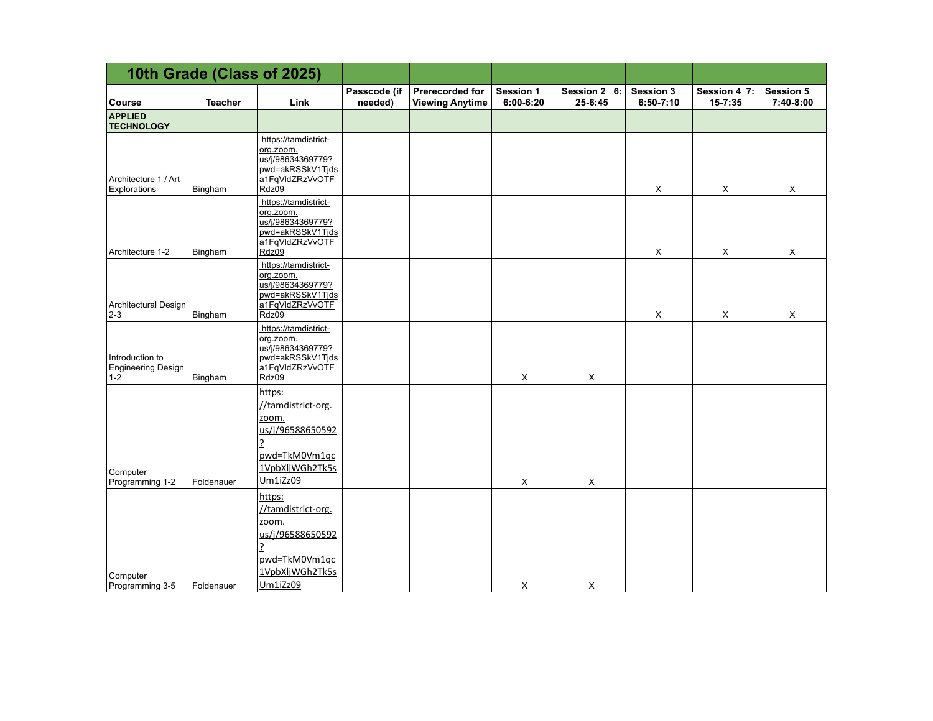|                                                         |                | 10th Grade (Class of 2025)                                                                                            |                         |                                           |                            |                         |                                   |                             |                               |
|---------------------------------------------------------|----------------|-----------------------------------------------------------------------------------------------------------------------|-------------------------|-------------------------------------------|----------------------------|-------------------------|-----------------------------------|-----------------------------|-------------------------------|
| <b>Course</b>                                           | <b>Teacher</b> | Link                                                                                                                  | Passcode (if<br>needed) | Prerecorded for<br><b>Viewing Anytime</b> | Session 1<br>$6:00 - 6:20$ | Session 2 6:<br>25-6:45 | <b>Session 3</b><br>$6:50 - 7:10$ | Session 4 7:<br>$15 - 7:35$ | <b>Session 5</b><br>7:40-8:00 |
| <b>APPLIED</b><br><b>TECHNOLOGY</b>                     |                |                                                                                                                       |                         |                                           |                            |                         |                                   |                             |                               |
| Architecture 1 / Art<br>Explorations                    | Bingham        | https://tamdistrict-<br>org.zoom.<br>us/j/98634369779?<br>pwd=akRSSkV1Tjds<br>a1FqVldZRzVvOTF<br>Rdz09                |                         |                                           |                            |                         | X                                 | Χ                           | X                             |
| Architecture 1-2                                        | Bingham        | https://tamdistrict-<br>org.zoom.<br>us/j/98634369779?<br>pwd=akRSSkV1Tjds<br>a1FqVldZRzVvOTF<br>Rdz09                |                         |                                           |                            |                         | X                                 | X                           | X                             |
| Architectural Design<br>$2-3$                           | Bingham        | https://tamdistrict-<br>org.zoom.<br>us/j/98634369779?<br>pwd=akRSSkV1Tjds<br>a1FqVldZRzVvOTF<br>Rdz09                |                         |                                           |                            |                         | X                                 | X                           | X                             |
| Introduction to<br><b>Engineering Design</b><br>$1 - 2$ | Bingham        | https://tamdistrict-<br>org.zoom.<br>us/j/98634369779?<br>pwd=akRSSkV1Tjds<br>a1FqVldZRzVvOTF<br>Rdz09                |                         |                                           | X                          | X                       |                                   |                             |                               |
| Computer<br>Programming 1-2                             | Foldenauer     | https:<br>//tamdistrict-org.<br>zoom.<br>us/j/96588650592<br><u>?</u><br>pwd=TkM0Vm1qc<br>1VpbXljWGh2Tk5s<br>Um1iZz09 |                         |                                           | X                          | X                       |                                   |                             |                               |
| Computer<br>Programming 3-5                             | Foldenauer     | https:<br>//tamdistrict-org.<br>zoom.<br>us/j/96588650592<br>ŗ<br>pwd=TkM0Vm1qc<br>1VpbXljWGh2Tk5s<br>Um1iZz09        |                         |                                           | $\boldsymbol{\mathsf{X}}$  | X                       |                                   |                             |                               |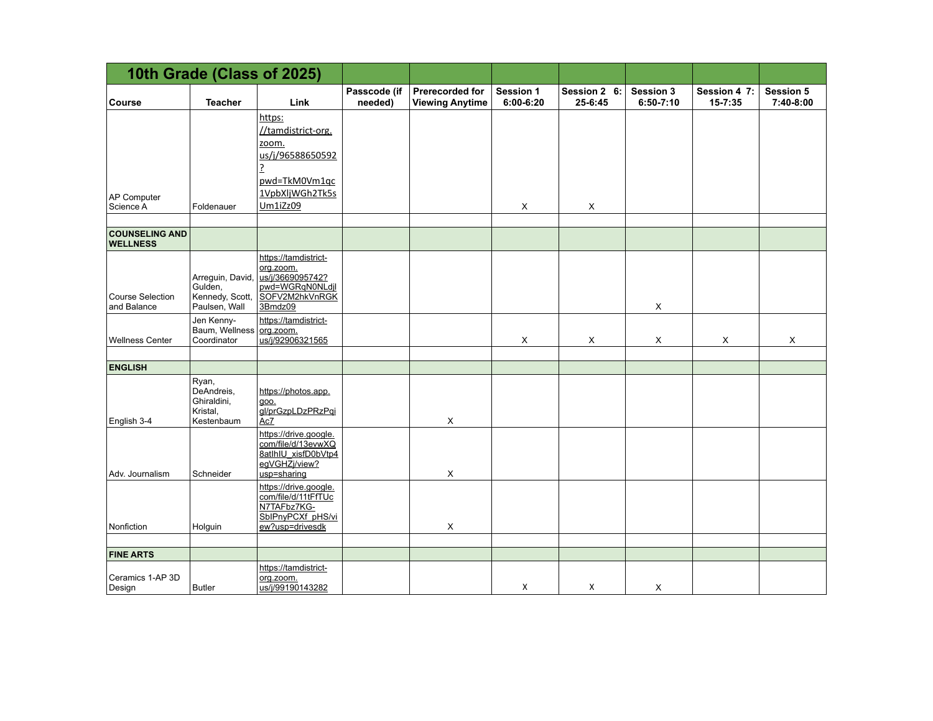|                                          | 10th Grade (Class of 2025)                                      |                                                                                                                       |                         |                                                  |                            |                         |                            |                             |                               |
|------------------------------------------|-----------------------------------------------------------------|-----------------------------------------------------------------------------------------------------------------------|-------------------------|--------------------------------------------------|----------------------------|-------------------------|----------------------------|-----------------------------|-------------------------------|
| <b>Course</b>                            | <b>Teacher</b>                                                  | Link                                                                                                                  | Passcode (if<br>needed) | <b>Prerecorded for</b><br><b>Viewing Anytime</b> | Session 1<br>$6:00 - 6:20$ | Session 2 6:<br>25-6:45 | Session 3<br>$6:50 - 7:10$ | Session 4 7:<br>$15 - 7:35$ | <b>Session 5</b><br>7:40-8:00 |
| AP Computer<br>Science A                 | Foldenauer                                                      | https:<br>//tamdistrict-org.<br>zoom.<br>us/j/96588650592<br><u>?</u><br>pwd=TkM0Vm1qc<br>1VpbXljWGh2Tk5s<br>Um1iZz09 |                         |                                                  | X                          | X                       |                            |                             |                               |
| <b>COUNSELING AND</b><br><b>WELLNESS</b> |                                                                 |                                                                                                                       |                         |                                                  |                            |                         |                            |                             |                               |
| Course Selection<br>and Balance          | Arreguin, David,<br>Gulden,<br>Kennedy, Scott,<br>Paulsen, Wall | https://tamdistrict-<br>org.zoom.<br>us/j/3669095742?<br>pwd=WGRqN0NLdjl<br>SOFV2M2hkVnRGK<br>3Bmdz09                 |                         |                                                  |                            |                         | X                          |                             |                               |
| <b>Wellness Center</b>                   | Jen Kenny-<br>Baum, Wellness<br>Coordinator                     | https://tamdistrict-<br>org.zoom.<br>us/j/92906321565                                                                 |                         |                                                  | X                          | X                       | X                          | X                           | X                             |
| <b>ENGLISH</b>                           |                                                                 |                                                                                                                       |                         |                                                  |                            |                         |                            |                             |                               |
| English 3-4                              | Ryan,<br>DeAndreis,<br>Ghiraldini,<br>Kristal,<br>Kestenbaum    | https://photos.app.<br><b>goo.</b><br>gl/prGzpLDzPRzPgi<br>Ac7                                                        |                         | X                                                |                            |                         |                            |                             |                               |
| Adv. Journalism                          | Schneider                                                       | https://drive.google.<br>com/file/d/13evwXQ<br>8atlhIU_xisfD0bVtp4<br>egVGHZj/view?<br>usp=sharing                    |                         | X                                                |                            |                         |                            |                             |                               |
| Nonfiction                               | Holguin                                                         | https://drive.google.<br>com/file/d/11tFfTUc<br>N7TAFbz7KG-<br>SbIPnyPCXf_pHS/vi<br>ew?usp=drivesdk                   |                         | X                                                |                            |                         |                            |                             |                               |
| <b>FINE ARTS</b>                         |                                                                 |                                                                                                                       |                         |                                                  |                            |                         |                            |                             |                               |
| Ceramics 1-AP 3D<br>Design               | <b>Butler</b>                                                   | https://tamdistrict-<br>org.zoom.<br>us/j/99190143282                                                                 |                         |                                                  | X                          | X                       | X                          |                             |                               |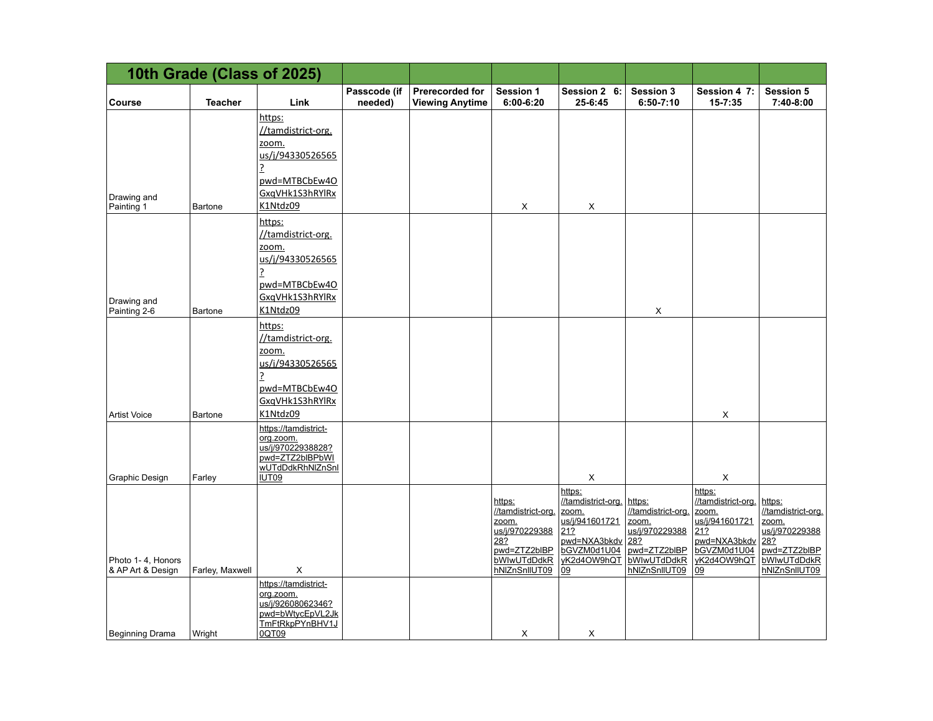|                                        | 10th Grade (Class of 2025) |                                                                                                                       |                         |                                           |                                                                                                                |                                                                                                                    |                                                                                                                |                                                                                                                    |                                                                                                                |
|----------------------------------------|----------------------------|-----------------------------------------------------------------------------------------------------------------------|-------------------------|-------------------------------------------|----------------------------------------------------------------------------------------------------------------|--------------------------------------------------------------------------------------------------------------------|----------------------------------------------------------------------------------------------------------------|--------------------------------------------------------------------------------------------------------------------|----------------------------------------------------------------------------------------------------------------|
| Course                                 | <b>Teacher</b>             | Link                                                                                                                  | Passcode (if<br>needed) | Prerecorded for<br><b>Viewing Anytime</b> | <b>Session 1</b><br>$6:00 - 6:20$                                                                              | Session 2 6:<br>25-6:45                                                                                            | <b>Session 3</b><br>$6:50 - 7:10$                                                                              | Session 4 7:<br>$15 - 7:35$                                                                                        | <b>Session 5</b><br>7:40-8:00                                                                                  |
| Drawing and<br>Painting 1              | Bartone                    | https:<br>//tamdistrict-org.<br>zoom.<br>us/j/94330526565<br><u>?</u><br>pwd=MTBCbEw4O<br>GxqVHk1S3hRYlRx<br>K1Ntdz09 |                         |                                           | X                                                                                                              | X                                                                                                                  |                                                                                                                |                                                                                                                    |                                                                                                                |
| Drawing and<br>Painting 2-6            | Bartone                    | https:<br>//tamdistrict-org.<br>zoom.<br>us/j/94330526565<br><u>?</u><br>pwd=MTBCbEw4O<br>GxqVHk1S3hRYlRx<br>K1Ntdz09 |                         |                                           |                                                                                                                |                                                                                                                    | X                                                                                                              |                                                                                                                    |                                                                                                                |
| <b>Artist Voice</b>                    | Bartone                    | https:<br>//tamdistrict-org.<br>zoom.<br>us/j/94330526565<br><u>?</u><br>pwd=MTBCbEw4O<br>GxgVHk1S3hRYlRx<br>K1Ntdz09 |                         |                                           |                                                                                                                |                                                                                                                    |                                                                                                                | X                                                                                                                  |                                                                                                                |
| Graphic Design                         | Farley                     | https://tamdistrict-<br>org.zoom.<br>us/j/97022938828?<br>pwd=ZTZ2bIBPbWI<br>wUTdDdkRhNlZnSnl<br><b>IUT09</b>         |                         |                                           |                                                                                                                | $\mathsf X$                                                                                                        |                                                                                                                | X                                                                                                                  |                                                                                                                |
| Photo 1-4, Honors<br>& AP Art & Design | Farley, Maxwell            | X                                                                                                                     |                         |                                           | https:<br>//tamdistrict-org.<br>zoom.<br>us/j/970229388<br>28?<br>pwd=ZTZ2bIBP<br>bWlwUTdDdkR<br>hNIZnSnIIUT09 | https:<br>//tamdistrict-org.<br>zoom.<br>us/j/941601721<br>21?<br>pwd=NXA3bkdv<br>bGVZM0d1U04<br>vK2d4OW9hQT<br>09 | https:<br>//tamdistrict-org.<br>zoom.<br>us/j/970229388<br>28?<br>pwd=ZTZ2bIBP<br>bWlwUTdDdkR<br>hNIZnSnIIUT09 | https:<br>//tamdistrict-org.<br>zoom.<br>us/j/941601721<br>21?<br>pwd=NXA3bkdv<br>bGVZM0d1U04<br>yK2d4OW9hQT<br>09 | https:<br>//tamdistrict-org.<br>zoom.<br>us/j/970229388<br>28?<br>pwd=ZTZ2bIBP<br>bWlwUTdDdkR<br>hNIZnSnIIUT09 |
| Beginning Drama                        | Wright                     | https://tamdistrict-<br>org.zoom.<br>us/j/92608062346?<br>pwd=bWtycEpVL2Jk<br>TmFtRkpPYnBHV1J<br>0QT09                |                         |                                           | X                                                                                                              | X                                                                                                                  |                                                                                                                |                                                                                                                    |                                                                                                                |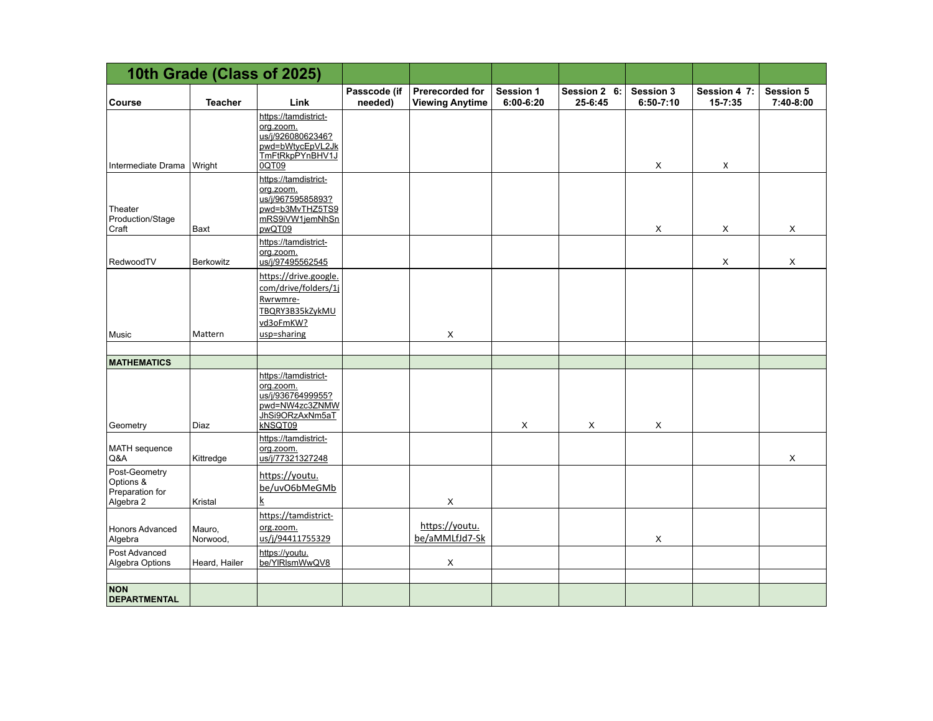|                                                            |                    | 10th Grade (Class of 2025)                                                                               |                         |                                                  |                            |                         |                                   |                             |                               |
|------------------------------------------------------------|--------------------|----------------------------------------------------------------------------------------------------------|-------------------------|--------------------------------------------------|----------------------------|-------------------------|-----------------------------------|-----------------------------|-------------------------------|
| Course                                                     | <b>Teacher</b>     | Link                                                                                                     | Passcode (if<br>needed) | <b>Prerecorded for</b><br><b>Viewing Anytime</b> | Session 1<br>$6:00 - 6:20$ | Session 2 6:<br>25-6:45 | <b>Session 3</b><br>$6:50 - 7:10$ | Session 4 7:<br>$15 - 7:35$ | <b>Session 5</b><br>7:40-8:00 |
| Intermediate Drama                                         | Wright             | https://tamdistrict-<br>org.zoom.<br>us/j/92608062346?<br>pwd=bWtycEpVL2Jk<br>TmFtRkpPYnBHV1J<br>0QT09   |                         |                                                  |                            |                         | X                                 | X                           |                               |
| Theater<br>Production/Stage<br>Craft                       | Baxt               | https://tamdistrict-<br>org.zoom.<br>us/j/96759585893?<br>pwd=b3MvTHZ5TS9<br>mRS9iVW1jemNhSn<br>pwQT09   |                         |                                                  |                            |                         | X                                 | X                           | X                             |
| RedwoodTV                                                  | Berkowitz          | https://tamdistrict-<br>org.zoom.<br>us/j/97495562545                                                    |                         |                                                  |                            |                         |                                   | X                           | X                             |
| Music                                                      | Mattern            | https://drive.google.<br>com/drive/folders/1j<br>Rwrwmre-<br>TBQRY3B35kZykMU<br>vd3oFmKW?<br>usp=sharing |                         | X                                                |                            |                         |                                   |                             |                               |
| <b>MATHEMATICS</b>                                         |                    |                                                                                                          |                         |                                                  |                            |                         |                                   |                             |                               |
| Geometry                                                   | Diaz               | https://tamdistrict-<br>org.zoom.<br>us/j/93676499955?<br>pwd=NW4zc3ZNMW<br>JhSi9ORzAxNm5aT<br>kNSQT09   |                         |                                                  | X                          | X                       | X                                 |                             |                               |
| MATH sequence<br>Q&A                                       | Kittredge          | https://tamdistrict-<br>org.zoom.<br>us/j/77321327248                                                    |                         |                                                  |                            |                         |                                   |                             | X                             |
| Post-Geometry<br>Options &<br>Preparation for<br>Algebra 2 | Kristal            | https://youtu.<br>be/uvO6bMeGMb<br>$\overline{\mathsf{k}}$                                               |                         | X                                                |                            |                         |                                   |                             |                               |
| Honors Advanced<br>Algebra                                 | Mauro,<br>Norwood, | https://tamdistrict-<br>org.zoom.<br>us/j/94411755329                                                    |                         | https://youtu.<br>be/aMMLfJd7-Sk                 |                            |                         | X                                 |                             |                               |
| Post Advanced<br>Algebra Options                           | Heard, Hailer      | https://youtu.<br>be/YIRIsmWwQV8                                                                         |                         | X                                                |                            |                         |                                   |                             |                               |
| <b>NON</b><br><b>DEPARTMENTAL</b>                          |                    |                                                                                                          |                         |                                                  |                            |                         |                                   |                             |                               |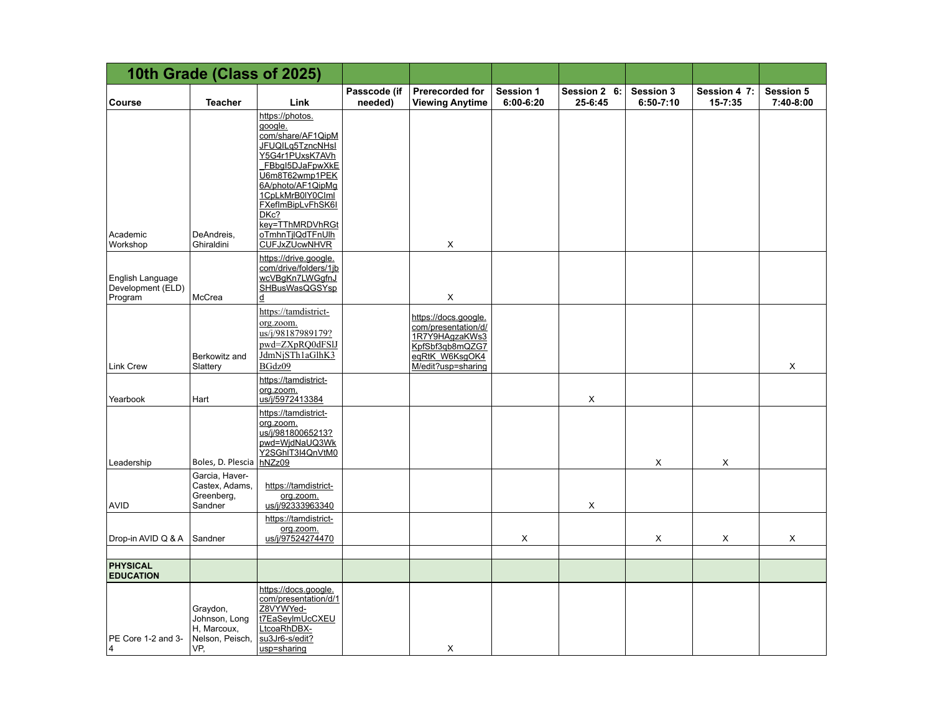|                                                  | 10th Grade (Class of 2025)                                         |                                                                                                                                                                                                                                                                  |                         |                                                                                                                          |                            |                         |                                   |                             |                               |
|--------------------------------------------------|--------------------------------------------------------------------|------------------------------------------------------------------------------------------------------------------------------------------------------------------------------------------------------------------------------------------------------------------|-------------------------|--------------------------------------------------------------------------------------------------------------------------|----------------------------|-------------------------|-----------------------------------|-----------------------------|-------------------------------|
| Course                                           | <b>Teacher</b>                                                     | Link                                                                                                                                                                                                                                                             | Passcode (if<br>needed) | Prerecorded for<br><b>Viewing Anytime</b>                                                                                | Session 1<br>$6:00 - 6:20$ | Session 2 6:<br>25-6:45 | <b>Session 3</b><br>$6:50 - 7:10$ | Session 4 7:<br>$15 - 7:35$ | <b>Session 5</b><br>7:40-8:00 |
| Academic<br>Workshop                             | DeAndreis,<br>Ghiraldini                                           | https://photos.<br>google.<br>com/share/AF1QipM<br>JFUQILq5TzncNHsl<br>Y5G4r1PUxsK7AVh<br>FBbqI5DJaFpwXkE<br>U6m8T62wmp1PEK<br>6A/photo/AF1QipMq<br>1CpLkMrB0IY0Clml<br>FXefImBipLvFhSK6I<br>DKc?<br>key=TThMRDVhRGt<br>oTmhnTjlQdTFnUlh<br><b>CUFJxZUcwNHVR</b> |                         | X                                                                                                                        |                            |                         |                                   |                             |                               |
| English Language<br>Development (ELD)<br>Program | McCrea                                                             | https://drive.google.<br>com/drive/folders/1jb<br>wcVBqKn7LWGqfnJ<br>SHBusWasQGSYsp<br>₫                                                                                                                                                                         |                         | X                                                                                                                        |                            |                         |                                   |                             |                               |
| Link Crew                                        | Berkowitz and<br>Slattery                                          | https://tamdistrict-<br>org.zoom.<br>us/j/98187989179?<br>pwd=ZXpRQ0dFSlJ<br>JdmNjSTh1aGlhK3<br>BGdz09                                                                                                                                                           |                         | https://docs.google.<br>com/presentation/d/<br>1R7Y9HAgzaKWs3<br>KpfSbf3qb8mQZG7<br>eqRtK W6KsgOK4<br>M/edit?usp=sharing |                            |                         |                                   |                             | X                             |
| Yearbook                                         | Hart                                                               | https://tamdistrict-<br>org.zoom.<br>us/j/5972413384                                                                                                                                                                                                             |                         |                                                                                                                          |                            | X                       |                                   |                             |                               |
| Leadership                                       | Boles, D. Plescia   hNZz09                                         | https://tamdistrict-<br>org.zoom.<br>us/j/98180065213?<br>pwd=WjdNaUQ3Wk<br>Y2SGhIT3I4QnVtM0                                                                                                                                                                     |                         |                                                                                                                          |                            |                         | X                                 | X                           |                               |
| <b>AVID</b>                                      | Garcia, Haver-<br>Castex, Adams,<br>Greenberg,<br>Sandner          | https://tamdistrict-<br>org.zoom.<br>us/j/92333963340                                                                                                                                                                                                            |                         |                                                                                                                          |                            | X                       |                                   |                             |                               |
| Drop-in AVID Q & A                               | Sandner                                                            | https://tamdistrict-<br>org.zoom.<br>us/j/97524274470                                                                                                                                                                                                            |                         |                                                                                                                          | X                          |                         | X                                 | X                           | X                             |
| <b>PHYSICAL</b><br><b>EDUCATION</b>              |                                                                    |                                                                                                                                                                                                                                                                  |                         |                                                                                                                          |                            |                         |                                   |                             |                               |
| PE Core 1-2 and 3-<br>4                          | Graydon,<br>Johnson, Long<br>H, Marcoux,<br>Nelson, Peisch,<br>VP. | https://docs.google.<br>com/presentation/d/1<br>Z8VYWYed-<br>t7EaSeyImUcCXEU<br>LtcoaRhDBX-<br>su3Jr6-s/edit?<br>usp=sharing                                                                                                                                     |                         | X                                                                                                                        |                            |                         |                                   |                             |                               |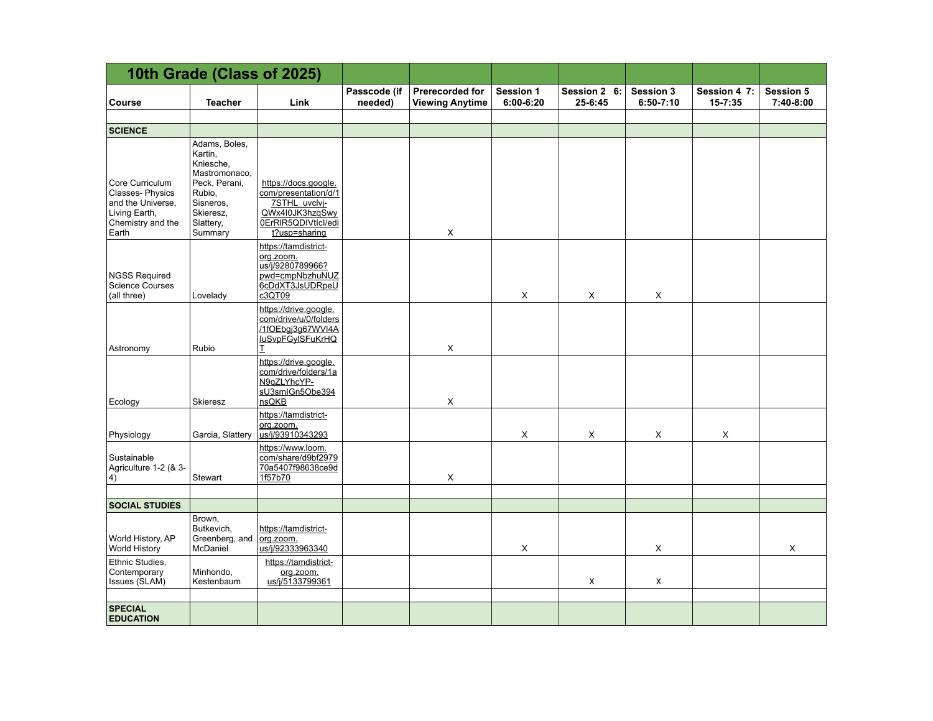|                                                                                                               | 10th Grade (Class of 2025)                                                                                                          |                                                                                                                          |                         |                                                  |                        |                         |                                   |                             |                               |
|---------------------------------------------------------------------------------------------------------------|-------------------------------------------------------------------------------------------------------------------------------------|--------------------------------------------------------------------------------------------------------------------------|-------------------------|--------------------------------------------------|------------------------|-------------------------|-----------------------------------|-----------------------------|-------------------------------|
| Course                                                                                                        | <b>Teacher</b>                                                                                                                      | Link                                                                                                                     | Passcode (if<br>needed) | <b>Prerecorded for</b><br><b>Viewing Anytime</b> | Session 1<br>6:00-6:20 | Session 2 6:<br>25-6:45 | <b>Session 3</b><br>$6:50 - 7:10$ | Session 4 7:<br>$15 - 7:35$ | <b>Session 5</b><br>7:40-8:00 |
|                                                                                                               |                                                                                                                                     |                                                                                                                          |                         |                                                  |                        |                         |                                   |                             |                               |
| <b>SCIENCE</b>                                                                                                |                                                                                                                                     |                                                                                                                          |                         |                                                  |                        |                         |                                   |                             |                               |
| Core Curriculum<br><b>Classes-Physics</b><br>and the Universe,<br>Living Earth,<br>Chemistry and the<br>Earth | Adams, Boles,<br>Kartin,<br>Kniesche,<br>Mastromonaco,<br>Peck, Perani,<br>Rubio,<br>Sisneros,<br>Skieresz,<br>Slattery,<br>Summary | https://docs.google.<br>com/presentation/d/1<br>7STHL_uvclvj-<br>QWx4I0JK3hzqSwy<br>0ErRIR5QDIVtlcl/edi<br>t?usp=sharing |                         | X                                                |                        |                         |                                   |                             |                               |
| <b>NGSS Required</b><br><b>Science Courses</b><br>(all three)                                                 | Lovelady                                                                                                                            | https://tamdistrict-<br>org.zoom.<br>us/j/9280789966?<br>pwd=cmpNbzhuNUZ<br>6cDdXT3JsUDRpeU<br>c3QT09                    |                         |                                                  | X                      | X                       | X                                 |                             |                               |
| Astronomy                                                                                                     | Rubio                                                                                                                               | https://drive.google.<br>com/drive/u/0/folders<br>/1fOEbqj3q67WVI4A<br>luSvpFGylSFuKrHQ<br>т                             |                         | X                                                |                        |                         |                                   |                             |                               |
| Ecology                                                                                                       | Skieresz                                                                                                                            | https://drive.google.<br>com/drive/folders/1a<br>N9aZLYhcYP-<br>sU3smlGn5Obe394<br>nsQKB                                 |                         | X                                                |                        |                         |                                   |                             |                               |
| Physiology                                                                                                    | Garcia, Slattery                                                                                                                    | https://tamdistrict-<br>org.zoom.<br>us/j/93910343293                                                                    |                         |                                                  | X                      | X                       | X                                 | X                           |                               |
| Sustainable<br>Agriculture 1-2 (& 3-<br>4)                                                                    | Stewart                                                                                                                             | https://www.loom.<br>com/share/d9bf2979<br>70a5407f98638ce9d<br>1f57b70                                                  |                         | X                                                |                        |                         |                                   |                             |                               |
| <b>SOCIAL STUDIES</b>                                                                                         |                                                                                                                                     |                                                                                                                          |                         |                                                  |                        |                         |                                   |                             |                               |
|                                                                                                               | Brown,                                                                                                                              |                                                                                                                          |                         |                                                  |                        |                         |                                   |                             |                               |
| World History, AP<br><b>World History</b>                                                                     | Butkevich,<br>Greenberg, and<br>McDaniel                                                                                            | https://tamdistrict-<br>org.zoom.<br>us/j/92333963340                                                                    |                         |                                                  | X                      |                         | X                                 |                             | X                             |
| Ethnic Studies,<br>Contemporary<br>Issues (SLAM)                                                              | Minhondo,<br>Kestenbaum                                                                                                             | https://tamdistrict-<br>org.zoom.<br>us/j/5133799361                                                                     |                         |                                                  |                        | X                       | X                                 |                             |                               |
|                                                                                                               |                                                                                                                                     |                                                                                                                          |                         |                                                  |                        |                         |                                   |                             |                               |
| <b>SPECIAL</b><br><b>EDUCATION</b>                                                                            |                                                                                                                                     |                                                                                                                          |                         |                                                  |                        |                         |                                   |                             |                               |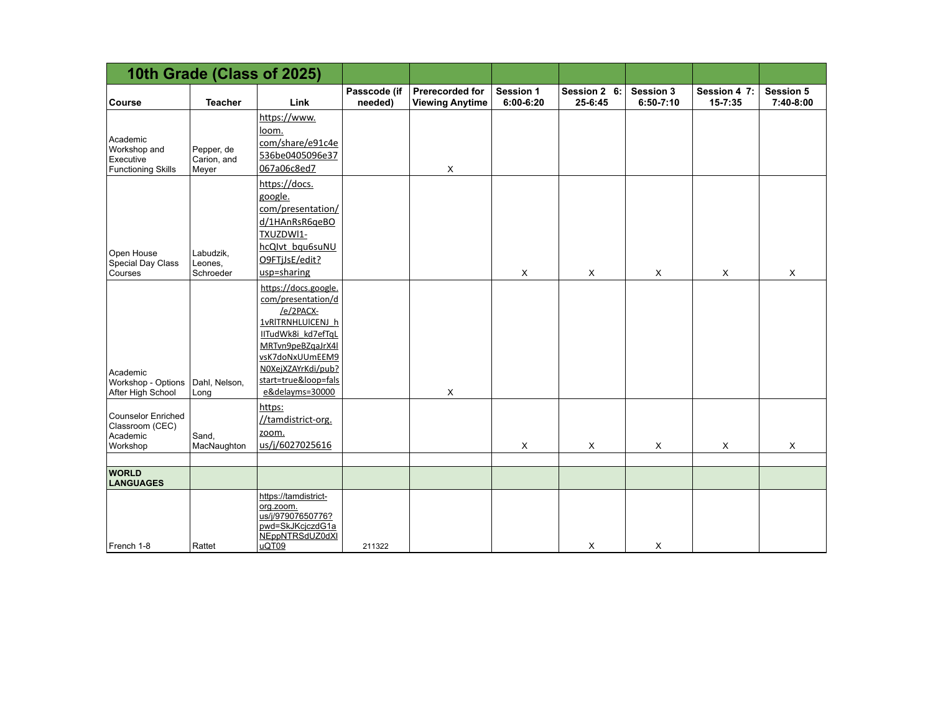|                                                                      |                                    | 10th Grade (Class of 2025)                                                                                                                                                                                  |                         |                                                  |                            |                         |                          |                             |                               |
|----------------------------------------------------------------------|------------------------------------|-------------------------------------------------------------------------------------------------------------------------------------------------------------------------------------------------------------|-------------------------|--------------------------------------------------|----------------------------|-------------------------|--------------------------|-----------------------------|-------------------------------|
| <b>Course</b>                                                        | <b>Teacher</b>                     | Link                                                                                                                                                                                                        | Passcode (if<br>needed) | <b>Prerecorded for</b><br><b>Viewing Anytime</b> | Session 1<br>$6:00 - 6:20$ | Session 2 6:<br>25-6:45 | Session 3<br>$6:50-7:10$ | Session 4 7:<br>$15 - 7:35$ | <b>Session 5</b><br>7:40-8:00 |
| Academic<br>Workshop and<br>Executive<br><b>Functioning Skills</b>   | Pepper, de<br>Carion, and<br>Meyer | https://www.<br>loom.<br>com/share/e91c4e<br>536be0405096e37<br>067a06c8ed7                                                                                                                                 |                         | X                                                |                            |                         |                          |                             |                               |
| Open House<br>Special Day Class<br>Courses                           | Labudzik,<br>Leones,<br>Schroeder  | https://docs.<br>google.<br>com/presentation/<br>d/1HAnRsR6qeBO<br>TXUZDWI1-<br>hcQlvt bqu6suNU<br>O9FTjJsE/edit?<br>usp=sharing                                                                            |                         |                                                  | X                          | $\mathsf{X}$            | X                        | X                           | X                             |
| Academic<br>Workshop - Options<br>After High School                  | Dahl, Nelson,<br>Long              | https://docs.google.<br>com/presentation/d<br>/e/2PACX-<br>1vRITRNHLUICENJ h<br>IITudWk8i kd7efTqL<br>MRTvn9peBZqaJrX4I<br>vsK7doNxUUmEEM9<br>N0XejXZAYrKdi/pub?<br>start=true&loop=fals<br>e&delayms=30000 |                         | X                                                |                            |                         |                          |                             |                               |
| <b>Counselor Enriched</b><br>Classroom (CEC)<br>Academic<br>Workshop | Sand,<br>MacNaughton               | https:<br>//tamdistrict-org.<br>zoom.<br>us/j/6027025616                                                                                                                                                    |                         |                                                  | X                          | $\mathsf{x}$            | $\mathsf{x}$             | X                           | X                             |
| <b>WORLD</b><br><b>LANGUAGES</b>                                     |                                    |                                                                                                                                                                                                             |                         |                                                  |                            |                         |                          |                             |                               |
| French 1-8                                                           | Rattet                             | https://tamdistrict-<br>org.zoom.<br>us/j/97907650776?<br>pwd=SkJKcjczdG1a<br>NEppNTRSdUZ0dXI<br>uQT09                                                                                                      | 211322                  |                                                  |                            | $\mathsf{X}$            | X                        |                             |                               |